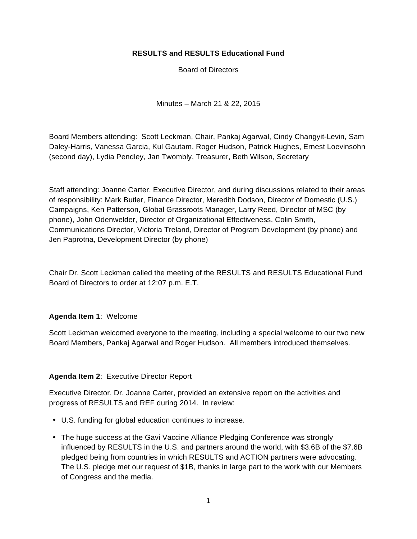### **RESULTS and RESULTS Educational Fund**

Board of Directors

Minutes – March 21 & 22, 2015

Board Members attending: Scott Leckman, Chair, Pankaj Agarwal, Cindy Changyit-Levin, Sam Daley-Harris, Vanessa Garcia, Kul Gautam, Roger Hudson, Patrick Hughes, Ernest Loevinsohn (second day), Lydia Pendley, Jan Twombly, Treasurer, Beth Wilson, Secretary

Staff attending: Joanne Carter, Executive Director, and during discussions related to their areas of responsibility: Mark Butler, Finance Director, Meredith Dodson, Director of Domestic (U.S.) Campaigns, Ken Patterson, Global Grassroots Manager, Larry Reed, Director of MSC (by phone), John Odenwelder, Director of Organizational Effectiveness, Colin Smith, Communications Director, Victoria Treland, Director of Program Development (by phone) and Jen Paprotna, Development Director (by phone)

Chair Dr. Scott Leckman called the meeting of the RESULTS and RESULTS Educational Fund Board of Directors to order at 12:07 p.m. E.T.

### **Agenda Item 1**: Welcome

Scott Leckman welcomed everyone to the meeting, including a special welcome to our two new Board Members, Pankaj Agarwal and Roger Hudson. All members introduced themselves.

# **Agenda Item 2**: Executive Director Report

Executive Director, Dr. Joanne Carter, provided an extensive report on the activities and progress of RESULTS and REF during 2014. In review:

- U.S. funding for global education continues to increase.
- The huge success at the Gavi Vaccine Alliance Pledging Conference was strongly influenced by RESULTS in the U.S. and partners around the world, with \$3.6B of the \$7.6B pledged being from countries in which RESULTS and ACTION partners were advocating. The U.S. pledge met our request of \$1B, thanks in large part to the work with our Members of Congress and the media.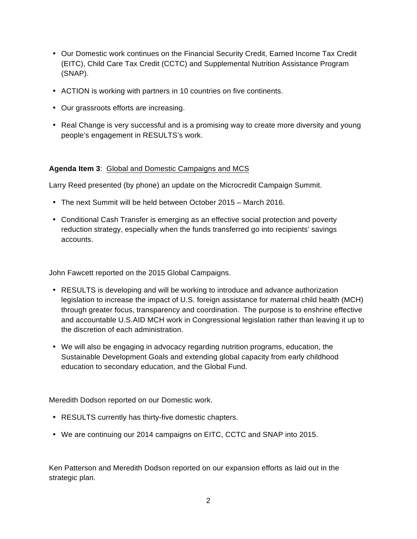- Our Domestic work continues on the Financial Security Credit, Earned Income Tax Credit (EITC), Child Care Tax Credit (CCTC) and Supplemental Nutrition Assistance Program (SNAP).
- ACTION is working with partners in 10 countries on five continents.
- Our grassroots efforts are increasing.
- Real Change is very successful and is a promising way to create more diversity and young people's engagement in RESULTS's work.

## **Agenda Item 3**: Global and Domestic Campaigns and MCS

Larry Reed presented (by phone) an update on the Microcredit Campaign Summit.

- The next Summit will be held between October 2015 March 2016.
- Conditional Cash Transfer is emerging as an effective social protection and poverty reduction strategy, especially when the funds transferred go into recipients' savings accounts.

John Fawcett reported on the 2015 Global Campaigns.

- RESULTS is developing and will be working to introduce and advance authorization legislation to increase the impact of U.S. foreign assistance for maternal child health (MCH) through greater focus, transparency and coordination. The purpose is to enshrine effective and accountable U.S.AID MCH work in Congressional legislation rather than leaving it up to the discretion of each administration.
- We will also be engaging in advocacy regarding nutrition programs, education, the Sustainable Development Goals and extending global capacity from early childhood education to secondary education, and the Global Fund.

Meredith Dodson reported on our Domestic work.

- RESULTS currently has thirty-five domestic chapters.
- We are continuing our 2014 campaigns on EITC, CCTC and SNAP into 2015.

Ken Patterson and Meredith Dodson reported on our expansion efforts as laid out in the strategic plan.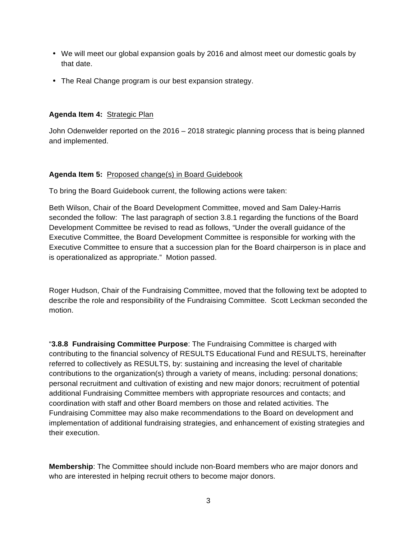- We will meet our global expansion goals by 2016 and almost meet our domestic goals by that date.
- The Real Change program is our best expansion strategy.

## **Agenda Item 4:** Strategic Plan

John Odenwelder reported on the 2016 – 2018 strategic planning process that is being planned and implemented.

## **Agenda Item 5:** Proposed change(s) in Board Guidebook

To bring the Board Guidebook current, the following actions were taken:

Beth Wilson, Chair of the Board Development Committee, moved and Sam Daley-Harris seconded the follow: The last paragraph of section 3.8.1 regarding the functions of the Board Development Committee be revised to read as follows, "Under the overall guidance of the Executive Committee, the Board Development Committee is responsible for working with the Executive Committee to ensure that a succession plan for the Board chairperson is in place and is operationalized as appropriate." Motion passed.

Roger Hudson, Chair of the Fundraising Committee, moved that the following text be adopted to describe the role and responsibility of the Fundraising Committee. Scott Leckman seconded the motion.

"**3.8.8 Fundraising Committee Purpose**: The Fundraising Committee is charged with contributing to the financial solvency of RESULTS Educational Fund and RESULTS, hereinafter referred to collectively as RESULTS, by: sustaining and increasing the level of charitable contributions to the organization(s) through a variety of means, including: personal donations; personal recruitment and cultivation of existing and new major donors; recruitment of potential additional Fundraising Committee members with appropriate resources and contacts; and coordination with staff and other Board members on those and related activities. The Fundraising Committee may also make recommendations to the Board on development and implementation of additional fundraising strategies, and enhancement of existing strategies and their execution.

**Membership**: The Committee should include non-Board members who are major donors and who are interested in helping recruit others to become major donors.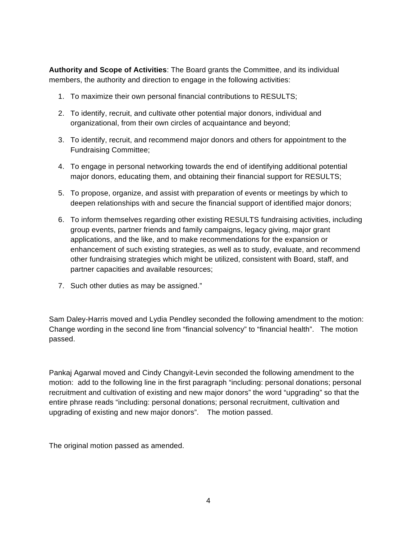**Authority and Scope of Activities**: The Board grants the Committee, and its individual members, the authority and direction to engage in the following activities:

- 1. To maximize their own personal financial contributions to RESULTS;
- 2. To identify, recruit, and cultivate other potential major donors, individual and organizational, from their own circles of acquaintance and beyond;
- 3. To identify, recruit, and recommend major donors and others for appointment to the Fundraising Committee;
- 4. To engage in personal networking towards the end of identifying additional potential major donors, educating them, and obtaining their financial support for RESULTS;
- 5. To propose, organize, and assist with preparation of events or meetings by which to deepen relationships with and secure the financial support of identified major donors;
- 6. To inform themselves regarding other existing RESULTS fundraising activities, including group events, partner friends and family campaigns, legacy giving, major grant applications, and the like, and to make recommendations for the expansion or enhancement of such existing strategies, as well as to study, evaluate, and recommend other fundraising strategies which might be utilized, consistent with Board, staff, and partner capacities and available resources;
- 7. Such other duties as may be assigned."

Sam Daley-Harris moved and Lydia Pendley seconded the following amendment to the motion: Change wording in the second line from "financial solvency" to "financial health". The motion passed.

Pankaj Agarwal moved and Cindy Changyit-Levin seconded the following amendment to the motion: add to the following line in the first paragraph "including: personal donations; personal recruitment and cultivation of existing and new major donors" the word "upgrading" so that the entire phrase reads "including: personal donations; personal recruitment, cultivation and upgrading of existing and new major donors". The motion passed.

The original motion passed as amended.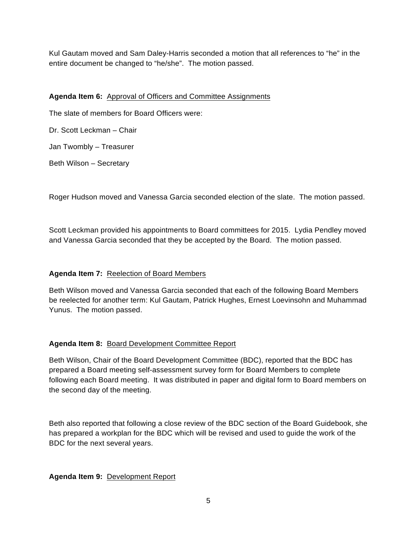Kul Gautam moved and Sam Daley-Harris seconded a motion that all references to "he" in the entire document be changed to "he/she". The motion passed.

## **Agenda Item 6:** Approval of Officers and Committee Assignments

The slate of members for Board Officers were:

Dr. Scott Leckman – Chair

Jan Twombly – Treasurer

Beth Wilson – Secretary

Roger Hudson moved and Vanessa Garcia seconded election of the slate. The motion passed.

Scott Leckman provided his appointments to Board committees for 2015. Lydia Pendley moved and Vanessa Garcia seconded that they be accepted by the Board. The motion passed.

# **Agenda Item 7:** Reelection of Board Members

Beth Wilson moved and Vanessa Garcia seconded that each of the following Board Members be reelected for another term: Kul Gautam, Patrick Hughes, Ernest Loevinsohn and Muhammad Yunus. The motion passed.

# **Agenda Item 8:** Board Development Committee Report

Beth Wilson, Chair of the Board Development Committee (BDC), reported that the BDC has prepared a Board meeting self-assessment survey form for Board Members to complete following each Board meeting. It was distributed in paper and digital form to Board members on the second day of the meeting.

Beth also reported that following a close review of the BDC section of the Board Guidebook, she has prepared a workplan for the BDC which will be revised and used to guide the work of the BDC for the next several years.

### **Agenda Item 9:** Development Report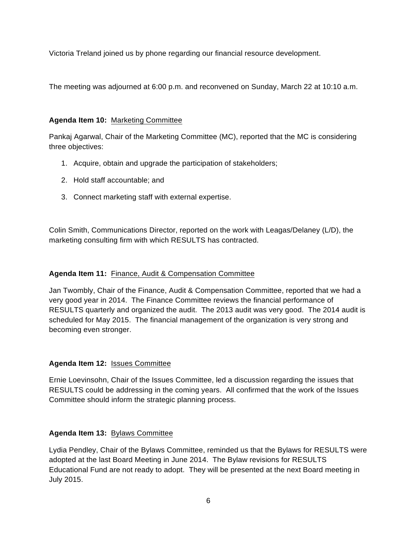Victoria Treland joined us by phone regarding our financial resource development.

The meeting was adjourned at 6:00 p.m. and reconvened on Sunday, March 22 at 10:10 a.m.

# **Agenda Item 10:** Marketing Committee

Pankaj Agarwal, Chair of the Marketing Committee (MC), reported that the MC is considering three objectives:

- 1. Acquire, obtain and upgrade the participation of stakeholders;
- 2. Hold staff accountable; and
- 3. Connect marketing staff with external expertise.

Colin Smith, Communications Director, reported on the work with Leagas/Delaney (L/D), the marketing consulting firm with which RESULTS has contracted.

# **Agenda Item 11:** Finance, Audit & Compensation Committee

Jan Twombly, Chair of the Finance, Audit & Compensation Committee, reported that we had a very good year in 2014. The Finance Committee reviews the financial performance of RESULTS quarterly and organized the audit. The 2013 audit was very good. The 2014 audit is scheduled for May 2015. The financial management of the organization is very strong and becoming even stronger.

### **Agenda Item 12:** Issues Committee

Ernie Loevinsohn, Chair of the Issues Committee, led a discussion regarding the issues that RESULTS could be addressing in the coming years. All confirmed that the work of the Issues Committee should inform the strategic planning process.

### **Agenda Item 13:** Bylaws Committee

Lydia Pendley, Chair of the Bylaws Committee, reminded us that the Bylaws for RESULTS were adopted at the last Board Meeting in June 2014. The Bylaw revisions for RESULTS Educational Fund are not ready to adopt. They will be presented at the next Board meeting in July 2015.